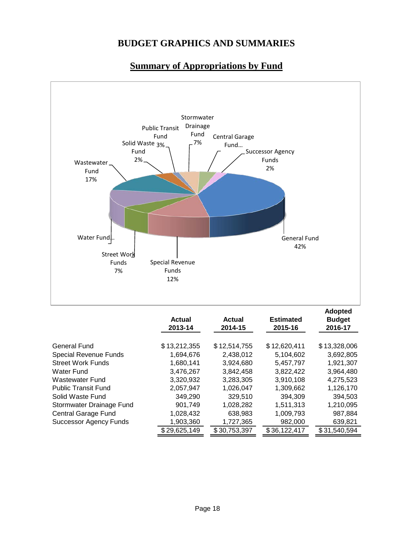

# **Summary of Appropriations by Fund**

|                               | <b>Actual</b><br>2013-14 | <b>Actual</b><br>2014-15 | <b>Estimated</b><br>2015-16 | <b>Adopted</b><br><b>Budget</b><br>2016-17 |  |
|-------------------------------|--------------------------|--------------------------|-----------------------------|--------------------------------------------|--|
| General Fund                  | \$13,212,355             | \$12,514,755             | \$12,620,411                | \$13,328,006                               |  |
| <b>Special Revenue Funds</b>  | 1,694,676                | 2.438.012                | 5,104,602                   | 3,692,805                                  |  |
| <b>Street Work Funds</b>      | 1,680,141                | 3.924.680                | 5.457.797                   | 1.921.307                                  |  |
| Water Fund                    | 3,476,267                | 3,842,458                | 3,822,422                   | 3,964,480                                  |  |
| Wastewater Fund               | 3,320,932                | 3,283,305                | 3,910,108                   | 4,275,523                                  |  |
| <b>Public Transit Fund</b>    | 2,057,947                | 1.026.047                | 1,309,662                   | 1,126,170                                  |  |
| Solid Waste Fund              | 349,290                  | 329,510                  | 394,309                     | 394,503                                    |  |
| Stormwater Drainage Fund      | 901.749                  | 1,028,282                | 1,511,313                   | 1,210,095                                  |  |
| Central Garage Fund           | 1,028,432                | 638,983                  | 1,009,793                   | 987,884                                    |  |
| <b>Successor Agency Funds</b> | 1,903,360                | 1,727,365                | 982,000                     | 639,821                                    |  |
|                               | \$29,625,149             | \$30,753,397             | \$36,122,417                | \$31,540,594                               |  |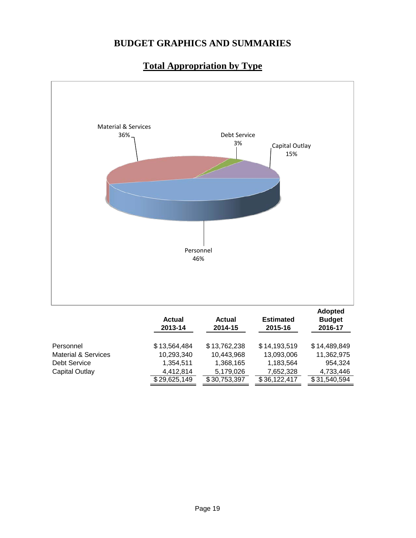

# **Total Appropriation by Type**

|                                | <b>Actual</b><br>2013-14 | <b>Actual</b><br>2014-15 | <b>Estimated</b><br>2015-16 | <b>Adopted</b><br><b>Budget</b><br>2016-17 |  |
|--------------------------------|--------------------------|--------------------------|-----------------------------|--------------------------------------------|--|
| Personnel                      | \$13,564,484             | \$13,762,238             | \$14,193,519                | \$14,489,849                               |  |
| <b>Material &amp; Services</b> | 10,293,340               | 10,443,968               | 13,093,006                  | 11,362,975                                 |  |
| Debt Service                   | 1,354,511                | 1,368,165                | 1,183,564                   | 954.324                                    |  |
| Capital Outlay                 | 4.412.814                | 5,179,026                | 7,652,328                   | 4,733,446                                  |  |
|                                | \$29,625,149             | \$30,753,397             | \$36,122,417                | \$31,540,594                               |  |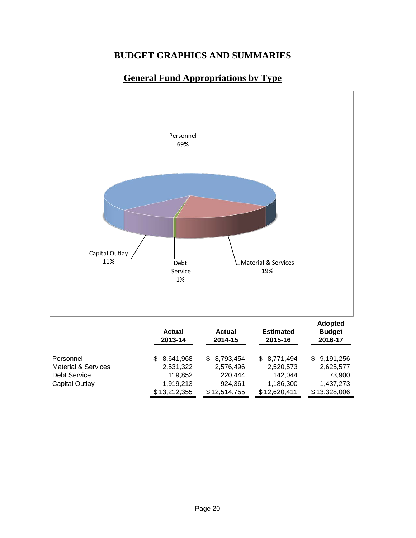### **General Fund Appropriations by Type**



|                                | <b>Actual</b><br>2013-14 | <b>Actual</b><br>2014-15 | <b>Estimated</b><br>2015-16 | <b>Budget</b><br>2016-17 |  |
|--------------------------------|--------------------------|--------------------------|-----------------------------|--------------------------|--|
| Personnel                      | \$ 8,641,968             | \$8,793,454              | \$8,771,494                 | \$9,191,256              |  |
| <b>Material &amp; Services</b> | 2,531,322                | 2,576,496                | 2,520,573                   | 2,625,577                |  |
| Debt Service                   | 119,852                  | 220.444                  | 142.044                     | 73,900                   |  |
| Capital Outlay                 | 1.919.213                | 924.361                  | 1,186,300                   | 1,437,273                |  |
|                                | \$13,212,355             | \$12,514,755             | \$12,620,411                | \$13,328,006             |  |